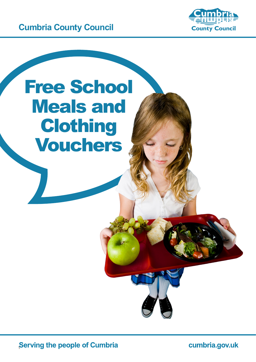



## Free School Meals and Clothing Vouchers

**Serving the people of Cumbria** 

cumbria.gov.uk